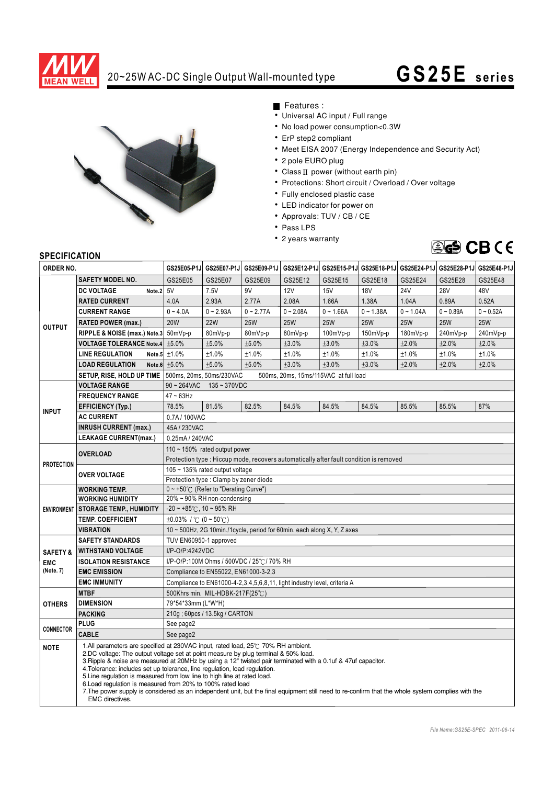

## 20~25W AC-DC Single Output Wall-mounted type **G S25E s e ri e s**



Features :

- Universal AC input / Full range
- No load power consumption<0.3W
- ErP step2 compliant
- Meet EISA 2007 (Energy Independence and Security Act)
- 2 pole EURO plug
- Class  $II$  power (without earth pin)
- Protections: Short circuit / Overload / Over voltage
- Fully enclosed plastic case
- LED indicator for power on
- Approvals: TUV / CB / CE
- Pass LPS
- 2 years warranty



## **SPECIFICATION**

| ORDER NO.                                      |                                                                                                                                                                                                                                                                                                                                                                                                                                                                                                                                                                                                                                                                                                 |                                                                                                   |                 | GS25E05-P1J GS25E07-P1J GS25E09-P1J |             |             |             |             | GS25E12-P1J GS25E15-P1J GS25E18-P1J GS25E24-P1J GS25E28-P1J GS25E48-P1J |             |
|------------------------------------------------|-------------------------------------------------------------------------------------------------------------------------------------------------------------------------------------------------------------------------------------------------------------------------------------------------------------------------------------------------------------------------------------------------------------------------------------------------------------------------------------------------------------------------------------------------------------------------------------------------------------------------------------------------------------------------------------------------|---------------------------------------------------------------------------------------------------|-----------------|-------------------------------------|-------------|-------------|-------------|-------------|-------------------------------------------------------------------------|-------------|
|                                                | <b>SAFETY MODEL NO.</b>                                                                                                                                                                                                                                                                                                                                                                                                                                                                                                                                                                                                                                                                         | GS25E05                                                                                           | GS25E07         | GS25E09                             | GS25E12     | GS25E15     | GS25E18     | GS25E24     | GS25E28                                                                 | GS25E48     |
| <b>OUTPUT</b>                                  | Note. $2 5V$<br><b>DC VOLTAGE</b>                                                                                                                                                                                                                                                                                                                                                                                                                                                                                                                                                                                                                                                               |                                                                                                   | 7.5V            | 9V                                  | 12V         | 15V         | <b>18V</b>  | <b>24V</b>  | <b>28V</b>                                                              | 48V         |
|                                                | <b>RATED CURRENT</b>                                                                                                                                                                                                                                                                                                                                                                                                                                                                                                                                                                                                                                                                            | 4.0A                                                                                              | 2.93A           | 2.77A                               | 2.08A       | 1.66A       | 1.38A       | 1.04A       | 0.89A                                                                   | 0.52A       |
|                                                | <b>CURRENT RANGE</b>                                                                                                                                                                                                                                                                                                                                                                                                                                                                                                                                                                                                                                                                            | $0 - 4.0A$                                                                                        | $0 - 2.93A$     | $0 - 2.77A$                         | $0 - 2.08A$ | $0 - 1.66A$ | $0 - 1.38A$ | $0 - 1.04A$ | $0 - 0.89A$                                                             | $0 - 0.52A$ |
|                                                | <b>RATED POWER (max.)</b>                                                                                                                                                                                                                                                                                                                                                                                                                                                                                                                                                                                                                                                                       | <b>20W</b>                                                                                        | <b>22W</b>      | <b>25W</b>                          | <b>25W</b>  | <b>25W</b>  | <b>25W</b>  | <b>25W</b>  | <b>25W</b>                                                              | <b>25W</b>  |
|                                                | RIPPLE & NOISE (max.) Note.3 50mVp-p                                                                                                                                                                                                                                                                                                                                                                                                                                                                                                                                                                                                                                                            |                                                                                                   | 80mVp-p         | 80mVp-p                             | 80mVp-p     | $100mVp-p$  | 150mVp-p    | 180mVp-p    | 240mVp-p                                                                | 240mVp-p    |
|                                                | <b>VOLTAGE TOLERANCE Note.4</b>                                                                                                                                                                                                                                                                                                                                                                                                                                                                                                                                                                                                                                                                 | ±5.0%                                                                                             | ±5.0%           | ±5.0%                               | ±3.0%       | ±3.0%       | ±3.0%       | ±2.0%       | ±2.0%                                                                   | ±2.0%       |
|                                                | <b>LINE REGULATION</b>                                                                                                                                                                                                                                                                                                                                                                                                                                                                                                                                                                                                                                                                          | Note.5 $\pm 1.0\%$                                                                                | ±1.0%           | ±1.0%                               | ±1.0%       | ±1.0%       | ±1.0%       | ±1.0%       | ±1.0%                                                                   | ±1.0%       |
|                                                | <b>LOAD REGULATION</b>                                                                                                                                                                                                                                                                                                                                                                                                                                                                                                                                                                                                                                                                          | Note.6 $\pm 5.0\%$                                                                                | ±5.0%           | ±5.0%                               | ±3.0%       | ±3.0%       | ±3.0%       | ±2.0%       | ±2.0%                                                                   | ±2.0%       |
|                                                | SETUP, RISE, HOLD UP TIME   500ms, 20ms, 50ms/230VAC                                                                                                                                                                                                                                                                                                                                                                                                                                                                                                                                                                                                                                            | 500ms, 20ms, 15ms/115VAC at full load                                                             |                 |                                     |             |             |             |             |                                                                         |             |
|                                                | <b>VOLTAGE RANGE</b>                                                                                                                                                                                                                                                                                                                                                                                                                                                                                                                                                                                                                                                                            | $90 - 264$ VAC<br>$135 - 370$ VDC                                                                 |                 |                                     |             |             |             |             |                                                                         |             |
| <b>INPUT</b>                                   | <b>FREQUENCY RANGE</b>                                                                                                                                                                                                                                                                                                                                                                                                                                                                                                                                                                                                                                                                          | $47 \sim 63$ Hz                                                                                   |                 |                                     |             |             |             |             |                                                                         |             |
|                                                | <b>EFFICIENCY (Typ.)</b>                                                                                                                                                                                                                                                                                                                                                                                                                                                                                                                                                                                                                                                                        | 78.5%                                                                                             | 81.5%           | 82.5%                               | 84.5%       | 84.5%       | 84.5%       | 85.5%       | 85.5%                                                                   | 87%         |
|                                                | <b>AC CURRENT</b>                                                                                                                                                                                                                                                                                                                                                                                                                                                                                                                                                                                                                                                                               | 0.7A/100VAC                                                                                       |                 |                                     |             |             |             |             |                                                                         |             |
|                                                | <b>INRUSH CURRENT (max.)</b>                                                                                                                                                                                                                                                                                                                                                                                                                                                                                                                                                                                                                                                                    | 45A/230VAC                                                                                        |                 |                                     |             |             |             |             |                                                                         |             |
|                                                | LEAKAGE CURRENT(max.)                                                                                                                                                                                                                                                                                                                                                                                                                                                                                                                                                                                                                                                                           |                                                                                                   | 0.25mA / 240VAC |                                     |             |             |             |             |                                                                         |             |
| <b>PROTECTION</b>                              | <b>OVERLOAD</b>                                                                                                                                                                                                                                                                                                                                                                                                                                                                                                                                                                                                                                                                                 | 110 $\sim$ 150% rated output power                                                                |                 |                                     |             |             |             |             |                                                                         |             |
|                                                |                                                                                                                                                                                                                                                                                                                                                                                                                                                                                                                                                                                                                                                                                                 | Protection type: Hiccup mode, recovers automatically after fault condition is removed             |                 |                                     |             |             |             |             |                                                                         |             |
|                                                | <b>OVER VOLTAGE</b>                                                                                                                                                                                                                                                                                                                                                                                                                                                                                                                                                                                                                                                                             | 105 ~ 135% rated output voltage                                                                   |                 |                                     |             |             |             |             |                                                                         |             |
|                                                |                                                                                                                                                                                                                                                                                                                                                                                                                                                                                                                                                                                                                                                                                                 | Protection type: Clamp by zener diode                                                             |                 |                                     |             |             |             |             |                                                                         |             |
| <b>ENVIRONMENT</b>                             | <b>WORKING TEMP.</b>                                                                                                                                                                                                                                                                                                                                                                                                                                                                                                                                                                                                                                                                            | $0 \sim +50^{\circ}$ (Refer to "Derating Curve")                                                  |                 |                                     |             |             |             |             |                                                                         |             |
|                                                | <b>WORKING HUMIDITY</b>                                                                                                                                                                                                                                                                                                                                                                                                                                                                                                                                                                                                                                                                         | 20% ~ 90% RH non-condensing                                                                       |                 |                                     |             |             |             |             |                                                                         |             |
|                                                | <b>STORAGE TEMP., HUMIDITY</b>                                                                                                                                                                                                                                                                                                                                                                                                                                                                                                                                                                                                                                                                  | $-20 \sim +85^{\circ}$ C, 10 ~ 95% RH                                                             |                 |                                     |             |             |             |             |                                                                         |             |
|                                                | <b>TEMP. COEFFICIENT</b><br><b>VIBRATION</b>                                                                                                                                                                                                                                                                                                                                                                                                                                                                                                                                                                                                                                                    | $\pm 0.03\%$ / °C (0 ~ 50°C)                                                                      |                 |                                     |             |             |             |             |                                                                         |             |
|                                                |                                                                                                                                                                                                                                                                                                                                                                                                                                                                                                                                                                                                                                                                                                 | 10 ~ 500Hz, 2G 10min./1cycle, period for 60min. each along X, Y, Z axes<br>TUV EN60950-1 approved |                 |                                     |             |             |             |             |                                                                         |             |
| <b>SAFETY &amp;</b><br><b>EMC</b><br>(Note. 7) | <b>SAFETY STANDARDS</b><br><b>WITHSTAND VOLTAGE</b>                                                                                                                                                                                                                                                                                                                                                                                                                                                                                                                                                                                                                                             | I/P-O/P:4242VDC                                                                                   |                 |                                     |             |             |             |             |                                                                         |             |
|                                                | <b>ISOLATION RESISTANCE</b>                                                                                                                                                                                                                                                                                                                                                                                                                                                                                                                                                                                                                                                                     | I/P-O/P:100M Ohms / 500VDC / 25°C / 70% RH                                                        |                 |                                     |             |             |             |             |                                                                         |             |
|                                                | <b>EMC EMISSION</b>                                                                                                                                                                                                                                                                                                                                                                                                                                                                                                                                                                                                                                                                             | Compliance to EN55022, EN61000-3-2,3                                                              |                 |                                     |             |             |             |             |                                                                         |             |
|                                                | <b>EMC IMMUNITY</b>                                                                                                                                                                                                                                                                                                                                                                                                                                                                                                                                                                                                                                                                             | Compliance to EN61000-4-2, 3, 4, 5, 6, 8, 11, light industry level, criteria A                    |                 |                                     |             |             |             |             |                                                                         |             |
| <b>OTHERS</b>                                  | <b>MTBF</b>                                                                                                                                                                                                                                                                                                                                                                                                                                                                                                                                                                                                                                                                                     | 500Khrs min. MIL-HDBK-217F(25℃)                                                                   |                 |                                     |             |             |             |             |                                                                         |             |
|                                                | <b>DIMENSION</b>                                                                                                                                                                                                                                                                                                                                                                                                                                                                                                                                                                                                                                                                                | 79*54*33mm (L*W*H)                                                                                |                 |                                     |             |             |             |             |                                                                         |             |
|                                                | <b>PACKING</b>                                                                                                                                                                                                                                                                                                                                                                                                                                                                                                                                                                                                                                                                                  | 210g ; 60pcs / 13.5kg / CARTON                                                                    |                 |                                     |             |             |             |             |                                                                         |             |
| <b>CONNECTOR</b>                               | <b>PLUG</b>                                                                                                                                                                                                                                                                                                                                                                                                                                                                                                                                                                                                                                                                                     | See page2                                                                                         |                 |                                     |             |             |             |             |                                                                         |             |
|                                                | <b>CABLE</b>                                                                                                                                                                                                                                                                                                                                                                                                                                                                                                                                                                                                                                                                                    | See page2                                                                                         |                 |                                     |             |             |             |             |                                                                         |             |
| <b>NOTE</b>                                    | 1.All parameters are specified at 230VAC input, rated load, 25°C 70% RH ambient.<br>2.DC voltage: The output voltage set at point measure by plug terminal & 50% load.<br>3. Ripple & noise are measured at 20MHz by using a 12" twisted pair terminated with a 0.1uf & 47uf capacitor.<br>4. Tolerance: includes set up tolerance, line regulation, load regulation.<br>5. Line regulation is measured from low line to high line at rated load.<br>6. Load regulation is measured from 20% to 100% rated load<br>7. The power supply is considered as an independent unit, but the final equipment still need to re-confirm that the whole system complies with the<br><b>EMC</b> directives. |                                                                                                   |                 |                                     |             |             |             |             |                                                                         |             |